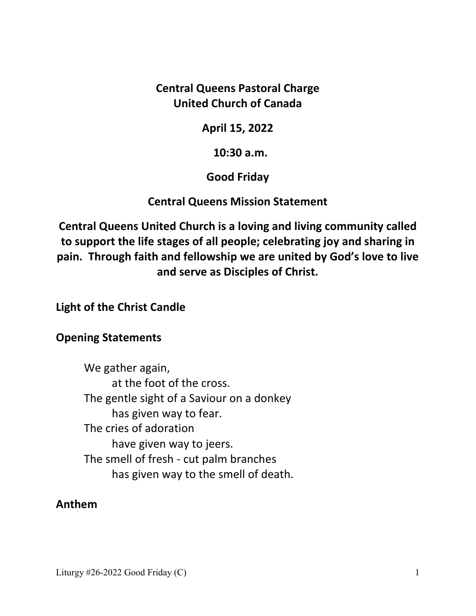**Central Queens Pastoral Charge United Church of Canada** 

**April 15, 2022** 

 **10:30 a.m.** 

**Good Friday** 

**Central Queens Mission Statement** 

**Central Queens United Church is a loving and living community called to support the life stages of all people; celebrating joy and sharing in pain. Through faith and fellowship we are united by God's love to live and serve as Disciples of Christ.**

**Light of the Christ Candle** 

## **Opening Statements**

 We gather again, at the foot of the cross. The gentle sight of a Saviour on a donkey has given way to fear. The cries of adoration have given way to jeers. The smell of fresh - cut palm branches has given way to the smell of death.

## **Anthem**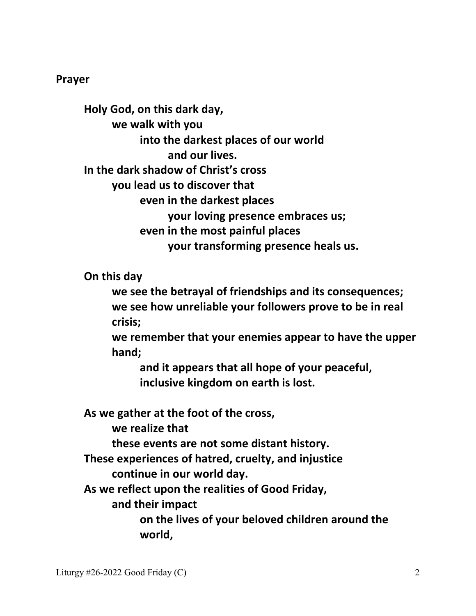#### **Prayer**

 **Holy God, on this dark day, we walk with you into the darkest places of our world and our lives. In the dark shadow of Christ's cross you lead us to discover that even in the darkest places your loving presence embraces us; even in the most painful places your transforming presence heals us.** 

 **On this day** 

 **we see the betrayal of friendships and its consequences; we see how unreliable your followers prove to be in real crisis;** 

 **we remember that your enemies appear to have the upper hand;** 

 **and it appears that all hope of your peaceful, inclusive kingdom on earth is lost.** 

 **As we gather at the foot of the cross,** 

 **we realize that** 

**these events are not some distant history.** 

 **These experiences of hatred, cruelty, and injustice** 

 **continue in our world day.** 

 **As we reflect upon the realities of Good Friday,** 

 **and their impact** 

 **on the lives of your beloved children around the world,**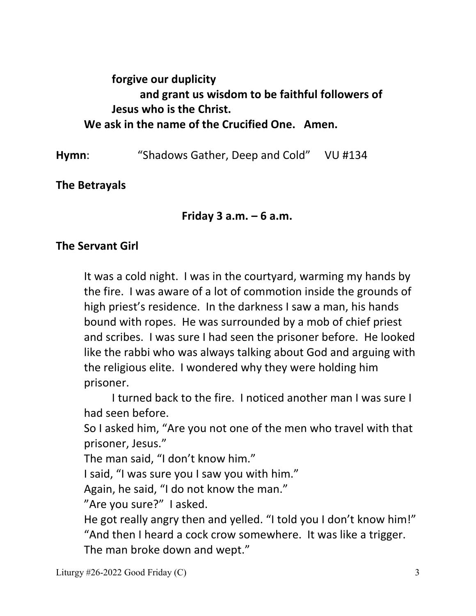# **forgive our duplicity and grant us wisdom to be faithful followers of Jesus who is the Christ. We ask in the name of the Crucified One. Amen.**

**Hymn**: "Shadows Gather, Deep and Cold" VU #134

**The Betrayals** 

 **Friday 3 a.m. – 6 a.m.** 

## **The Servant Girl**

It was a cold night. I was in the courtyard, warming my hands by the fire. I was aware of a lot of commotion inside the grounds of high priest's residence. In the darkness I saw a man, his hands bound with ropes. He was surrounded by a mob of chief priest and scribes. I was sure I had seen the prisoner before. He looked like the rabbi who was always talking about God and arguing with the religious elite. I wondered why they were holding him prisoner.

 I turned back to the fire. I noticed another man I was sure I had seen before.

So I asked him, "Are you not one of the men who travel with that prisoner, Jesus."

The man said, "I don't know him."

I said, "I was sure you I saw you with him."

Again, he said, "I do not know the man."

"Are you sure?" I asked.

He got really angry then and yelled. "I told you I don't know him!" "And then I heard a cock crow somewhere. It was like a trigger. The man broke down and wept."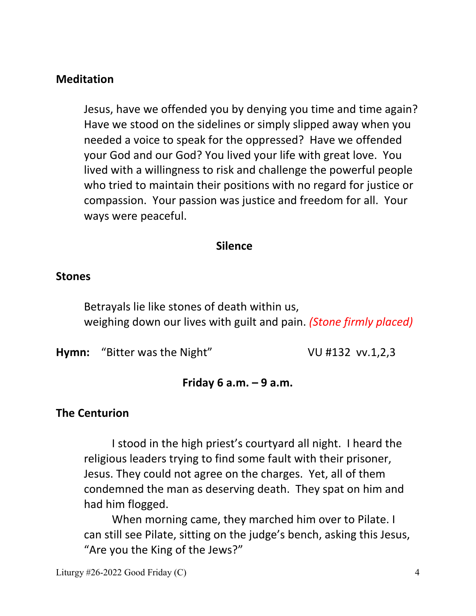### **Meditation**

 Jesus, have we offended you by denying you time and time again? Have we stood on the sidelines or simply slipped away when you needed a voice to speak for the oppressed? Have we offended your God and our God? You lived your life with great love. You lived with a willingness to risk and challenge the powerful people who tried to maintain their positions with no regard for justice or compassion. Your passion was justice and freedom for all. Your ways were peaceful.

#### **Silence**

#### **Stones**

 Betrayals lie like stones of death within us, weighing down our lives with guilt and pain. *(Stone firmly placed)*

**Hymn:** "Bitter was the Night" VU #132 vv.1,2,3

### **Friday 6 a.m. – 9 a.m.**

#### **The Centurion**

 I stood in the high priest's courtyard all night. I heard the religious leaders trying to find some fault with their prisoner, Jesus. They could not agree on the charges. Yet, all of them condemned the man as deserving death. They spat on him and had him flogged.

 When morning came, they marched him over to Pilate. I can still see Pilate, sitting on the judge's bench, asking this Jesus, "Are you the King of the Jews?"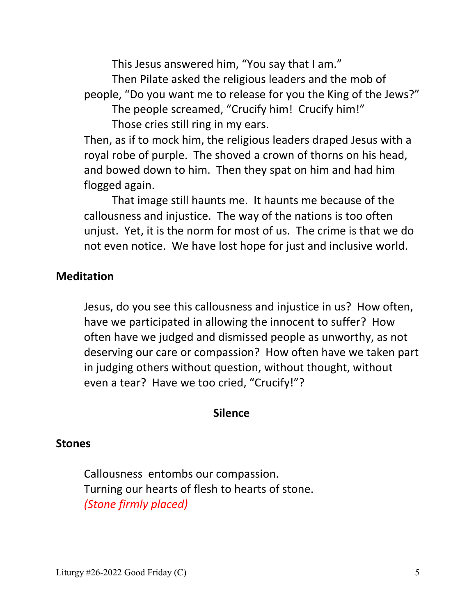This Jesus answered him, "You say that I am."

 Then Pilate asked the religious leaders and the mob of people, "Do you want me to release for you the King of the Jews?"

 The people screamed, "Crucify him! Crucify him!" Those cries still ring in my ears.

 Then, as if to mock him, the religious leaders draped Jesus with a royal robe of purple. The shoved a crown of thorns on his head, and bowed down to him. Then they spat on him and had him flogged again.

 That image still haunts me. It haunts me because of the callousness and injustice. The way of the nations is too often unjust. Yet, it is the norm for most of us. The crime is that we do not even notice. We have lost hope for just and inclusive world.

### **Meditation**

 Jesus, do you see this callousness and injustice in us? How often, have we participated in allowing the innocent to suffer? How often have we judged and dismissed people as unworthy, as not deserving our care or compassion? How often have we taken part in judging others without question, without thought, without even a tear? Have we too cried, "Crucify!"?

#### **Silence**

### **Stones**

 Callousness entombs our compassion. Turning our hearts of flesh to hearts of stone. *(Stone firmly placed)*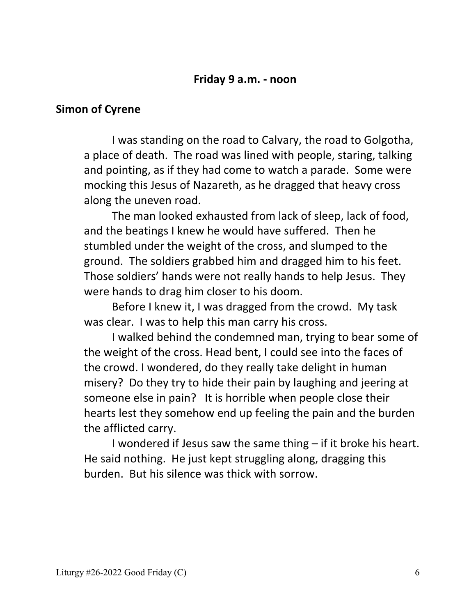#### **Friday 9 a.m. - noon**

#### **Simon of Cyrene**

 I was standing on the road to Calvary, the road to Golgotha, a place of death. The road was lined with people, staring, talking and pointing, as if they had come to watch a parade. Some were mocking this Jesus of Nazareth, as he dragged that heavy cross along the uneven road.

 The man looked exhausted from lack of sleep, lack of food, and the beatings I knew he would have suffered. Then he stumbled under the weight of the cross, and slumped to the ground. The soldiers grabbed him and dragged him to his feet. Those soldiers' hands were not really hands to help Jesus. They were hands to drag him closer to his doom.

 Before I knew it, I was dragged from the crowd. My task was clear. I was to help this man carry his cross.

 I walked behind the condemned man, trying to bear some of the weight of the cross. Head bent, I could see into the faces of the crowd. I wondered, do they really take delight in human misery? Do they try to hide their pain by laughing and jeering at someone else in pain? It is horrible when people close their hearts lest they somehow end up feeling the pain and the burden the afflicted carry.

 I wondered if Jesus saw the same thing – if it broke his heart. He said nothing. He just kept struggling along, dragging this burden. But his silence was thick with sorrow.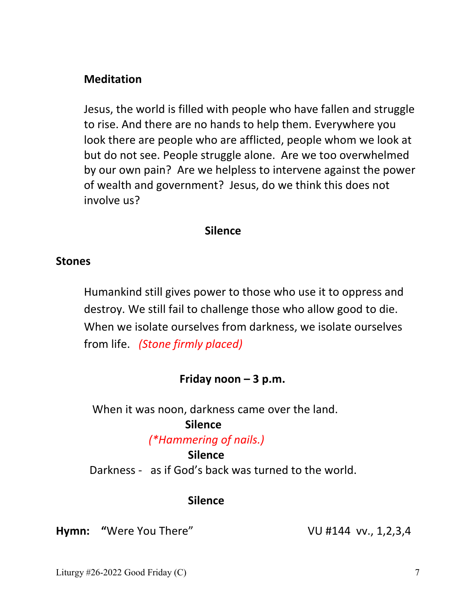### **Meditation**

 Jesus, the world is filled with people who have fallen and struggle to rise. And there are no hands to help them. Everywhere you look there are people who are afflicted, people whom we look at but do not see. People struggle alone. Are we too overwhelmed by our own pain? Are we helpless to intervene against the power of wealth and government? Jesus, do we think this does not involve us?

#### **Silence**

#### **Stones**

 Humankind still gives power to those who use it to oppress and destroy. We still fail to challenge those who allow good to die. When we isolate ourselves from darkness, we isolate ourselves from life. *(Stone firmly placed)*

### **Friday noon – 3 p.m.**

When it was noon, darkness came over the land.

### **Silence**

#### *(\*Hammering of nails.)*

#### **Silence**

Darkness - as if God's back was turned to the world.

#### **Silence**

**Hymn:** "Were You There" VU #144 vv., 1,2,3,4

Liturgy  $\#26$ -2022 Good Friday (C)  $\frac{7}{2}$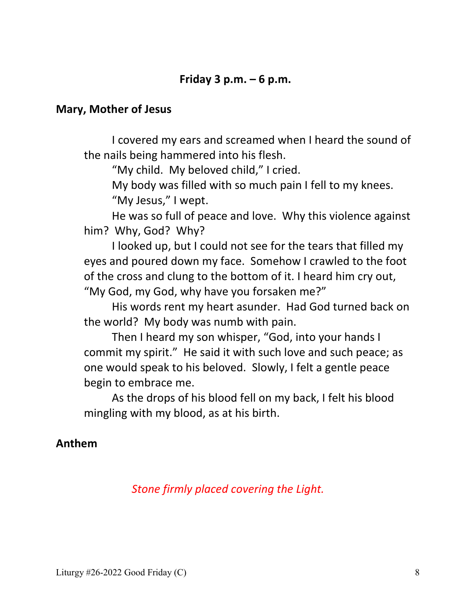### **Friday 3 p.m. – 6 p.m.**

#### **Mary, Mother of Jesus**

 I covered my ears and screamed when I heard the sound of the nails being hammered into his flesh.

"My child. My beloved child," I cried.

 My body was filled with so much pain I fell to my knees. "My Jesus," I wept.

 He was so full of peace and love. Why this violence against him? Why, God? Why?

 I looked up, but I could not see for the tears that filled my eyes and poured down my face. Somehow I crawled to the foot of the cross and clung to the bottom of it. I heard him cry out, "My God, my God, why have you forsaken me?"

 His words rent my heart asunder. Had God turned back on the world? My body was numb with pain.

 Then I heard my son whisper, "God, into your hands I commit my spirit." He said it with such love and such peace; as one would speak to his beloved. Slowly, I felt a gentle peace begin to embrace me.

 As the drops of his blood fell on my back, I felt his blood mingling with my blood, as at his birth.

## **Anthem**

## *Stone firmly placed covering the Light.*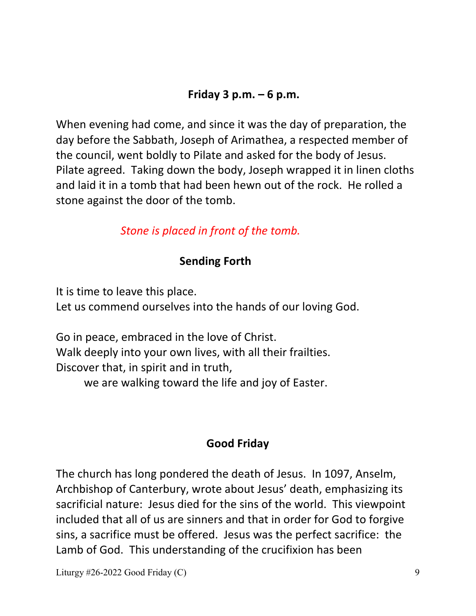## **Friday 3 p.m. – 6 p.m.**

When evening had come, and since it was the day of preparation, the day before the Sabbath, Joseph of Arimathea, a respected member of the council, went boldly to Pilate and asked for the body of Jesus. Pilate agreed. Taking down the body, Joseph wrapped it in linen cloths and laid it in a tomb that had been hewn out of the rock. He rolled a stone against the door of the tomb.

## *Stone is placed in front of the tomb.*

## **Sending Forth**

It is time to leave this place.

Let us commend ourselves into the hands of our loving God.

Go in peace, embraced in the love of Christ. Walk deeply into your own lives, with all their frailties. Discover that, in spirit and in truth, we are walking toward the life and joy of Easter.

## **Good Friday**

The church has long pondered the death of Jesus. In 1097, Anselm, Archbishop of Canterbury, wrote about Jesus' death, emphasizing its sacrificial nature: Jesus died for the sins of the world. This viewpoint included that all of us are sinners and that in order for God to forgive sins, a sacrifice must be offered. Jesus was the perfect sacrifice: the Lamb of God. This understanding of the crucifixion has been

Liturgy  $\#26$ -2022 Good Friday (C) 9